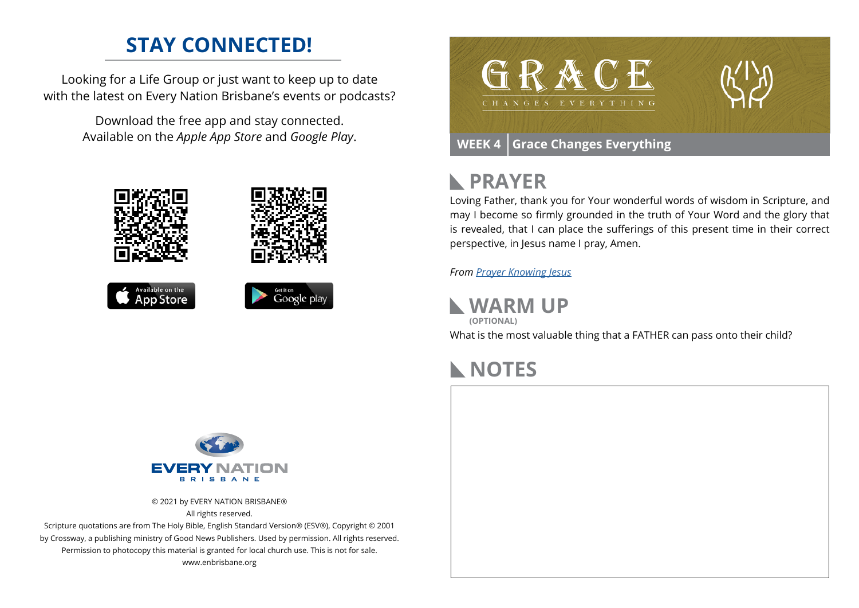## **STAY CONNECTED!**

Looking for a Life Group or just want to keep up to date with the latest on Every Nation Brisbane's events or podcasts?

> Download the free app and stay connected. Available on the *Apple App Store* and *Google Play*.









### **PRAYER**  $\mathbb{R}$

Loving Father, thank you for Your wonderful words of wisdom in Scripture, and may I become so firmly grounded in the truth of Your Word and the glory that is revealed, that I can place the sufferings of this present time in their correct perspective, in Jesus name I pray, Amen.

*From [Prayer](https://prayer.knowing-jesus.com/Romans/6) Knowing Jesus*

**WARM UP**

What is the most valuable thing that a FATHER can pass onto their child? **(OPTIONAL)**

## **NOTES**



© 2021 by EVERY NATION BRISBANE® All rights reserved.

Scripture quotations are from The Holy Bible, English Standard Version® (ESV®), Copyright © 2001 by Crossway, a publishing ministry of Good News Publishers. Used by permission. All rights reserved. Permission to photocopy this material is granted for local church use. This is not for sale. www.enbrisbane.org